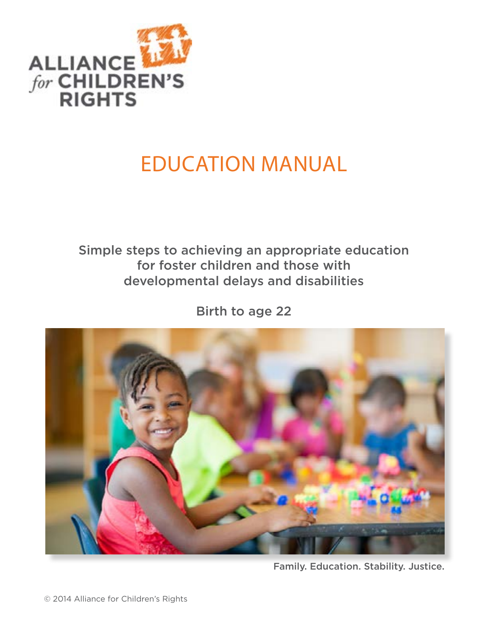

# Education manual

# Simple steps to achieving an appropriate education for foster children and those with developmental delays and disabilities

Birth to age 22



Family. Education. Stability. Justice.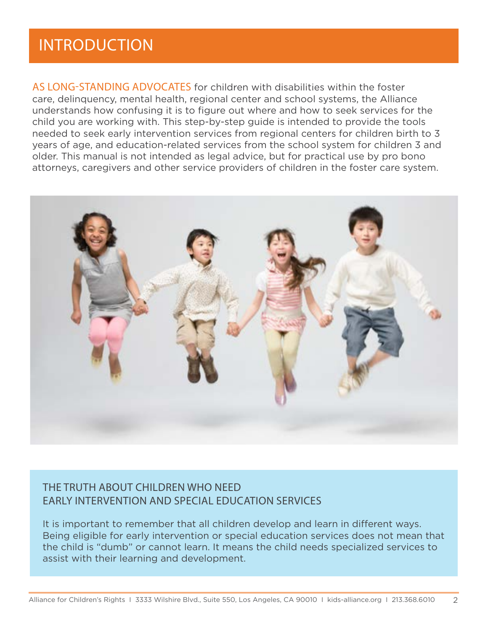# **INTRODUCTION**

AS LONG-STANDING ADVOCATES for children with disabilities within the foster care, delinquency, mental health, regional center and school systems, the Alliance understands how confusing it is to figure out where and how to seek services for the child you are working with. This step-by-step guide is intended to provide the tools needed to seek early intervention services from regional centers for children birth to 3 years of age, and education-related services from the school system for children 3 and older. This manual is not intended as legal advice, but for practical use by pro bono attorneys, caregivers and other service providers of children in the foster care system.



# The Truth About Children Who Need Early Intervention and Special Education Services

It is important to remember that all children develop and learn in different ways. Being eligible for early intervention or special education services does not mean that the child is "dumb" or cannot learn. It means the child needs specialized services to assist with their learning and development.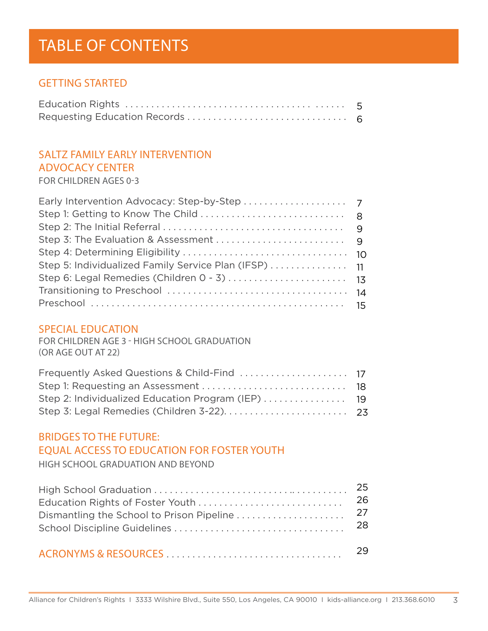# TABLE OF CONTENTS

## **GETTING STARTED**

# Saltz family early intervention advocacy center

for Children Ages 0-3

### Special Education

for Children Age 3 - High School Graduation (or Age Out at 22)

# Bridges to the Future: Equal ACCESS TO EDUCATION FOR FOSTER YOUTH

High School Graduation and Beyond

|                                           | 25 |
|-------------------------------------------|----|
| Education Rights of Foster Youth          | 26 |
| Dismantling the School to Prison Pipeline | 27 |
|                                           | 28 |
|                                           | 29 |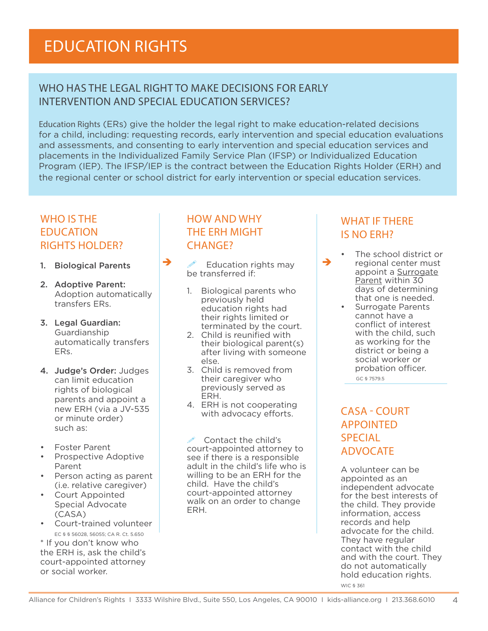# Who has the legal right to make decisions for early intervention and special education services?

Education Rights (ERs) give the holder the legal right to make education-related decisions for a child, including: requesting records, early intervention and special education evaluations and assessments, and consenting to early intervention and special education services and placements in the Individualized Family Service Plan (IFSP) or Individualized Education Program (IEP). The IFSP/IEP is the contract between the Education Rights Holder (ERH) and the regional center or school district for early intervention or special education services.

# WHO IS THE **EDUCATION** Rights Holder?

- 1. Biological Parents
- 2. Adoptive Parent: Adoption automatically transfers ERs.
- 3. Legal Guardian: Guardianship automatically transfers ERs.
- 4. Judge's Order: Judges can limit education rights of biological parents and appoint a new ERH (via a JV-535 or minute order) such as:
- **Foster Parent**
- • Prospective Adoptive Parent
- • Person acting as parent (i.e. relative caregiver)
- Court Appointed Special Advocate (CASA)
- • Court-trained volunteer EC § § 56028, 56055; CA R. Ct. 5.650

\* If you don't know who the ERH is, ask the child's court-appointed attorney or social worker.

# How and why THE ERH MIGHT CHANGF?

 $\rightarrow$  Education rights may  $\rightarrow$ be transferred if:

- 1. Biological parents who previously held education rights had their rights limited or terminated by the court.
- 2. Child is reunified with their biological parent(s) after living with someone else.
- 3. Child is removed from their caregiver who previously served as ERH.
- 4. ERH is not cooperating with advocacy efforts.

 Contact the child's court-appointed attorney to see if there is a responsible adult in the child's life who is willing to be an ERH for the child. Have the child's court-appointed attorney walk on an order to change ERH.

# WHAT IF THERE is no ERH?

- The school district or regional center must appoint a Surrogate Parent within 30 days of determining that one is needed.
	- **Surrogate Parents** cannot have a conflict of interest with the child, such as working for the district or being a social worker or probation officer.

GC § 7579.5

# CASA - Court **APPOINTED SPECIAL ADVOCATE**

A volunteer can be appointed as an independent advocate for the best interests of the child. They provide information, access records and help advocate for the child. They have regular contact with the child and with the court. They do not automatically hold education rights. WIC § 361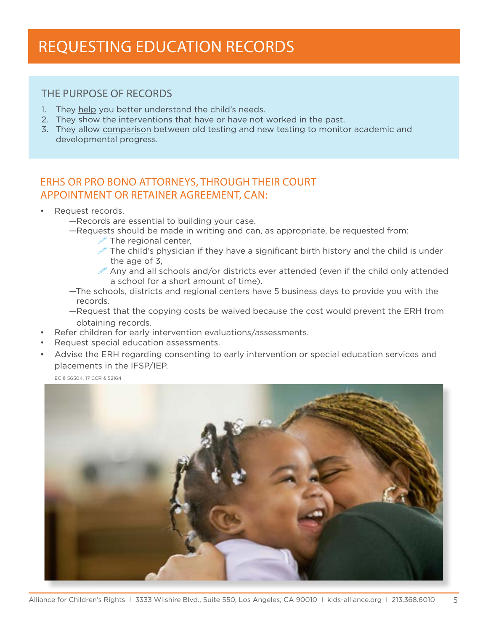# Requesting eDUCATION Records

## The Purpose of Records

- 1. They help you better understand the child's needs.
- 2. They show the interventions that have or have not worked in the past.
- 3. They allow comparison between old testing and new testing to monitor academic and developmental progress.

# ERHs or Pro Bono Attorneys, Through Their Court Appointment or Retainer Agreement, Can:

- • Request records.
	- —Records are essential to building your case.
	- —Requests should be made in writing and can, as appropriate, be requested from:
		- $\mathscr{D}$  The regional center,
		- The child's physician if they have a significant birth history and the child is under the age of 3,
		- $\mathscr X$  Any and all schools and/or districts ever attended (even if the child only attended a school for a short amount of time).
	- —The schools, districts and regional centers have 5 business days to provide you with the records.
	- —Request that the copying costs be waived because the cost would prevent the ERH from obtaining records.
- Refer children for early intervention evaluations/assessments.
- Request special education assessments.
- Advise the ERH regarding consenting to early intervention or special education services and placements in the IFSP/IEP.

EC § 56504, 17 CCR § 52164

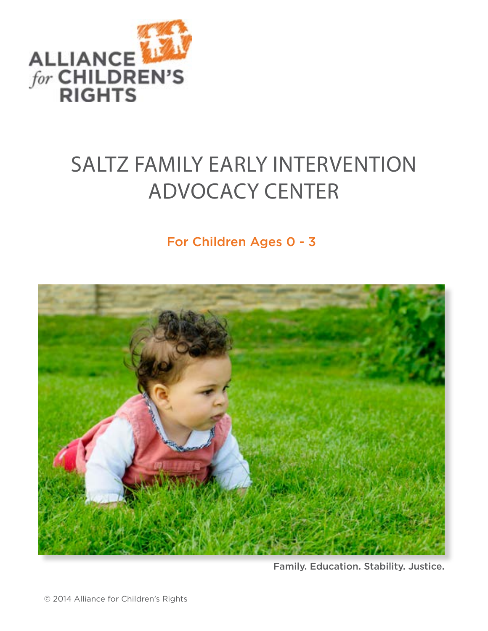

# SALTZ FAMILY EARLY INTERVENTION ADVOCACY CENTER

For Children Ages 0 - 3



Family. Education. Stability. Justice.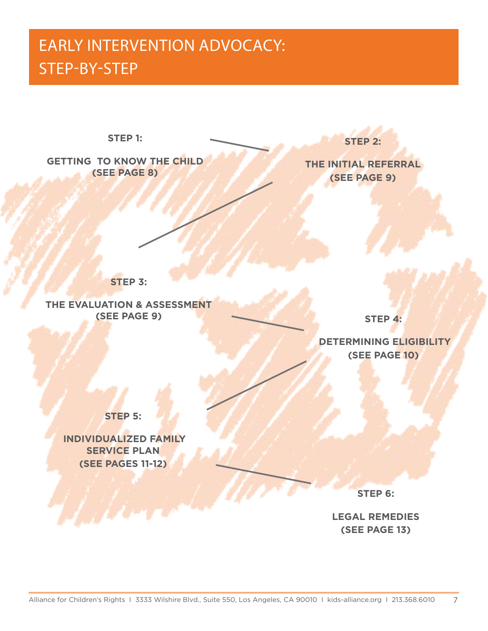# EARLY INTERVENTION ADVOCACY: STEP-BY-STEP



**STEP 6:** 

**LEGAL REMEDIES (SEE PAGE 13)**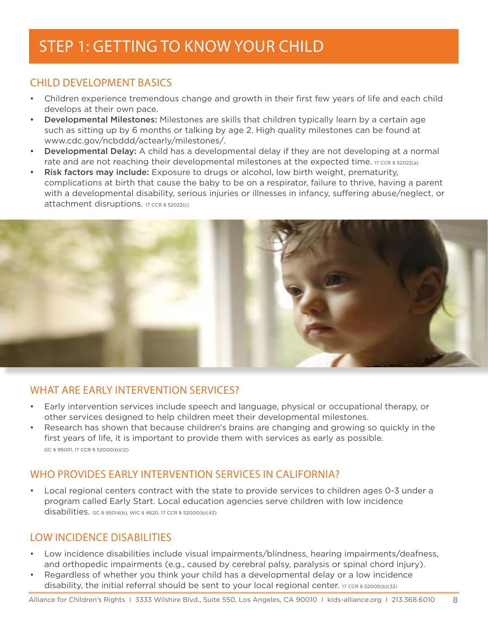# STEP 1: GETTING TO KNOW YOUR CHILD

# CHII D DEVELOPMENT BASICS

- Children experience tremendous change and growth in their first few years of life and each child develops at their own pace.
- **Developmental Milestones:** Milestones are skills that children typically learn by a certain age such as sitting up by 6 months or talking by age 2. High quality milestones can be found at www.cdc.gov/ncbddd/actearly/milestones/.
- **Developmental Delay:** A child has a developmental delay if they are not developing at a normal rate and are not reaching their developmental milestones at the expected time. 17 CCR § 52022(a)
- Risk factors may include: Exposure to drugs or alcohol, low birth weight, prematurity, complications at birth that cause the baby to be on a respirator, failure to thrive, having a parent with a developmental disability, serious injuries or illnesses in infancy, suffering abuse/neglect, or attachment disruptions. 17 CCR § 52022(c)



# WHAT ARE EARLY INTERVENTION SERVICES?

- Early intervention services include speech and language, physical or occupational therapy, or other services designed to help children meet their developmental milestones.
- Research has shown that because children's brains are changing and growing so quickly in the first years of life, it is important to provide them with services as early as possible. GC § 95001, 17 CCR § 52000(b)(12)

# WHO PROVIDES FARI Y INTERVENTION SERVICES IN CALIFORNIA?

Local regional centers contract with the state to provide services to children ages 0-3 under a program called Early Start. Local education agencies serve children with low incidence disabilities. GC § 95014(b), WIC § 4620, 17 CCR § 52000(b)(43)

# Low Incidence Disabilities

- Low incidence disabilities include visual impairments/blindness, hearing impairments/deafness, and orthopedic impairments (e.g., caused by cerebral palsy, paralysis or spinal chord injury).
- Regardless of whether you think your child has a developmental delay or a low incidence disability, the initial referral should be sent to your local regional center. 17 CCR § 52000(b)(32)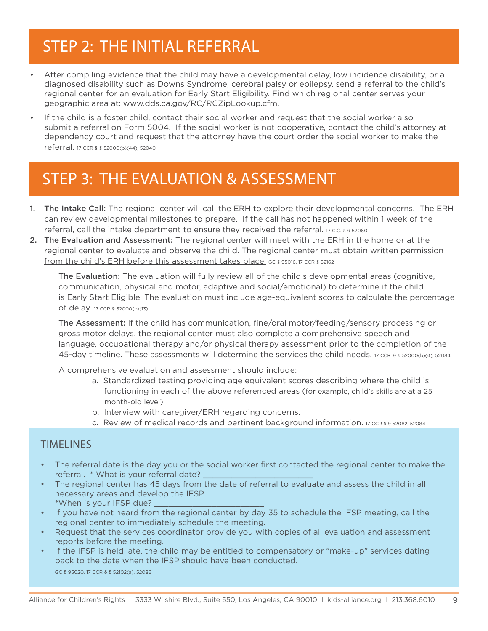# STEP 2: THE INITIAL REFERRAL

- After compiling evidence that the child may have a developmental delay, low incidence disability, or a diagnosed disability such as Downs Syndrome, cerebral palsy or epilepsy, send a referral to the child's regional center for an evaluation for Early Start Eligibility. Find which regional center serves your geographic area at: www.dds.ca.gov/RC/RCZipLookup.cfm.
- If the child is a foster child, contact their social worker and request that the social worker also submit a referral on Form 5004. If the social worker is not cooperative, contact the child's attorney at dependency court and request that the attorney have the court order the social worker to make the referral. 17 CCR § § 52000(b)(44), 52040

# Step 3: The Evaluation & Assessment

- 1. The Intake Call: The regional center will call the ERH to explore their developmental concerns. The ERH can review developmental milestones to prepare. If the call has not happened within 1 week of the referral, call the intake department to ensure they received the referral. 17 C.C.R. § 52060
- 2. The Evaluation and Assessment: The regional center will meet with the ERH in the home or at the regional center to evaluate and observe the child. The regional center must obtain written permission from the child's ERH before this assessment takes place. GC § 95016, 17 CCR § 52162

The Evaluation: The evaluation will fully review all of the child's developmental areas (cognitive, communication, physical and motor, adaptive and social/emotional) to determine if the child is Early Start Eligible. The evaluation must include age-equivalent scores to calculate the percentage of delay. 17 CCR § 52000(b)(13)

The Assessment: If the child has communication, fine/oral motor/feeding/sensory processing or gross motor delays, the regional center must also complete a comprehensive speech and language, occupational therapy and/or physical therapy assessment prior to the completion of the 45-day timeline. These assessments will determine the services the child needs. 17 CCR § § 52000(b)(4), 52084

A comprehensive evaluation and assessment should include:

- a. Standardized testing providing age equivalent scores describing where the child is functioning in each of the above referenced areas (for example, child's skills are at a 25 month-old level).
- b. Interview with caregiver/ERH regarding concerns.
- c. Review of medical records and pertinent background information. 17 ccR § § 52082, 52084

## **TIMELINES**

- The referral date is the day you or the social worker first contacted the regional center to make the referral. \* What is your referral date?
- The regional center has 45 days from the date of referral to evaluate and assess the child in all necessary areas and develop the IFSP. \*When is your IFSP due? \_\_\_\_\_\_\_\_\_\_\_\_\_\_\_\_\_\_\_\_\_\_\_
- If you have not heard from the regional center by day 35 to schedule the IFSP meeting, call the regional center to immediately schedule the meeting.
- Request that the services coordinator provide you with copies of all evaluation and assessment reports before the meeting.
- If the IFSP is held late, the child may be entitled to compensatory or "make-up" services dating back to the date when the IFSP should have been conducted. GC § 95020, 17 CCR § § 52102(a), 52086

Alliance for Children's Rights 1 3333 Wilshire Blvd., Suite 550, Los Angeles, CA 90010 1 kids-alliance.org 1 213.368.6010 9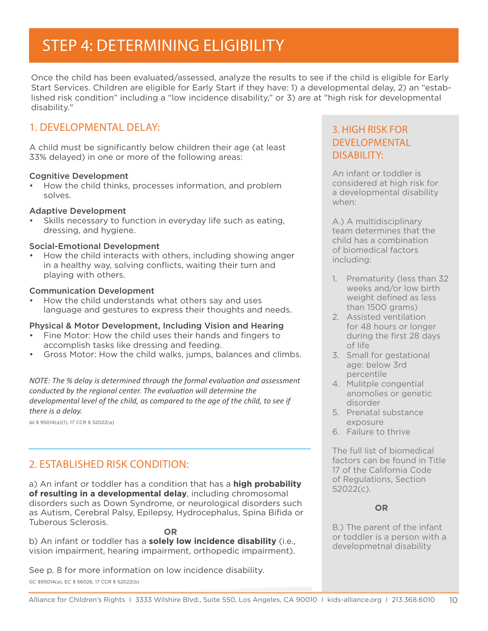# STEP 4: DETERMINING ELIGIBILITY

Once the child has been evaluated/assessed, analyze the results to see if the child is eligible for Early Start Services. Children are eligible for Early Start if they have: 1) a developmental delay, 2) an "established risk condition" including a "low incidence disability," or 3) are at "high risk for developmental disability."

## 1. Developmental Delay:

A child must be significantly below children their age (at least 33% delayed) in one or more of the following areas:

### Cognitive Development

How the child thinks, processes information, and problem solves.

### Adaptive Development

Skills necessary to function in everyday life such as eating, dressing, and hygiene.

#### Social-Emotional Development

How the child interacts with others, including showing anger in a healthy way, solving conflicts, waiting their turn and playing with others.

#### Communication Development

How the child understands what others say and uses language and gestures to express their thoughts and needs.

### Physical & Motor Development, Including Vision and Hearing

- Fine Motor: How the child uses their hands and fingers to accomplish tasks like dressing and feeding.
- Gross Motor: How the child walks, jumps, balances and climbs.

*NOTE: The % delay is determined through the formal evaluation and assessment conducted by the regional center. The evaluation will determine the developmental level of the child, as compared to the age of the child, to see if there is a delay.* 

GC § 95014(a)(1), 17 CCR § 52022(a)

## 2. Established Risk Condition:

a) An infant or toddler has a condition that has a **high probability of resulting in a developmental delay**, including chromosomal disorders such as Down Syndrome, or neurological disorders such as Autism, Cerebral Palsy, Epilepsy, Hydrocephalus, Spina Bifida or Tuberous Sclerosis.

**OR**

b) An infant or toddler has a **solely low incidence disability** (i.e., vision impairment, hearing impairment, orthopedic impairment).

See p. 8 for more information on low incidence disability. GC §95014(a), EC § 56026, 17 CCR § 52022(b)

## 3. High Risk for developmental DISABILITY:

An infant or toddler is considered at high risk for a developmental disability when:

A.) A multidisciplinary team determines that the child has a combination of biomedical factors including:

- 1. Prematurity (less than 32 weeks and/or low birth weight defined as less than 1500 grams)
- 2. Assisted ventilation for 48 hours or longer during the first 28 days of life
- 3. Small for gestational age: below 3rd percentile
- 4. Mulitple congential anomolies or genetic disorder
- 5. Prenatal substance exposure
- 6. Failure to thrive

The full list of biomedical factors can be found in Title 17 of the California Code of Regulations, Section 52022(c).

### **OR**

B.) The parent of the infant or toddler is a person with a developmetnal disability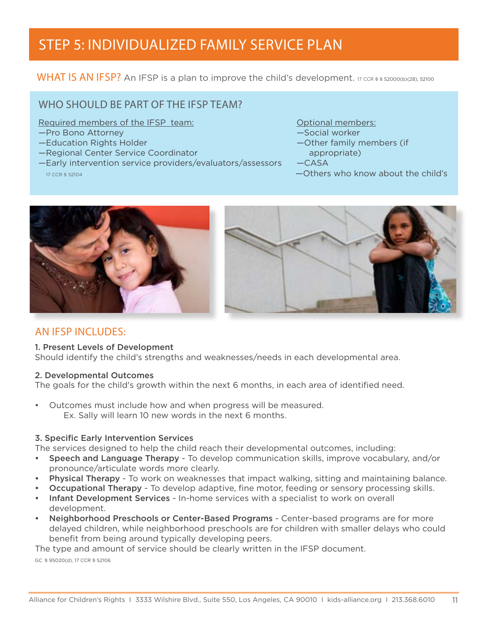# Step 5: Individualized Family Service Plan

WHAT IS AN IFSP? An IFSP is a plan to improve the child's development. 17 CCR § § 52000(b)(28), 52100

# WHO SHOULD BE PART OF THE IFSP TEAM?

Required members of the IFSP team: Optional members:

- —Pro Bono Attorney Social worker Social worker
- 
- —Regional Center Service Coordinator **appropriate**)
- —Early intervention service providers/evaluators/assessors —CASA  $17$  CCR § 52104  $\sim$  17 CCR § 52104
- 
- 
- —Education Rights Holder ——————————————————Other family members (if
	-
	-





# An IFSP Includes:

### 1. Present Levels of Development

Should identify the child's strengths and weaknesses/needs in each developmental area.

### 2. Developmental Outcomes

The goals for the child's growth within the next 6 months, in each area of identified need.

• Outcomes must include how and when progress will be measured. Ex. Sally will learn 10 new words in the next 6 months.

### 3. Specific Early Intervention Services

The services designed to help the child reach their developmental outcomes, including:

- Speech and Language Therapy To develop communication skills, improve vocabulary, and/or pronounce/articulate words more clearly.
- Physical Therapy To work on weaknesses that impact walking, sitting and maintaining balance.
- **Occupational Therapy** To develop adaptive, fine motor, feeding or sensory processing skills.
- Infant Development Services In-home services with a specialist to work on overall development.
- Neighborhood Preschools or Center-Based Programs Center-based programs are for more delayed children, while neighborhood preschools are for children with smaller delays who could benefit from being around typically developing peers.

The type and amount of service should be clearly written in the IFSP document.

GC § 95020(d), 17 CCR § 52106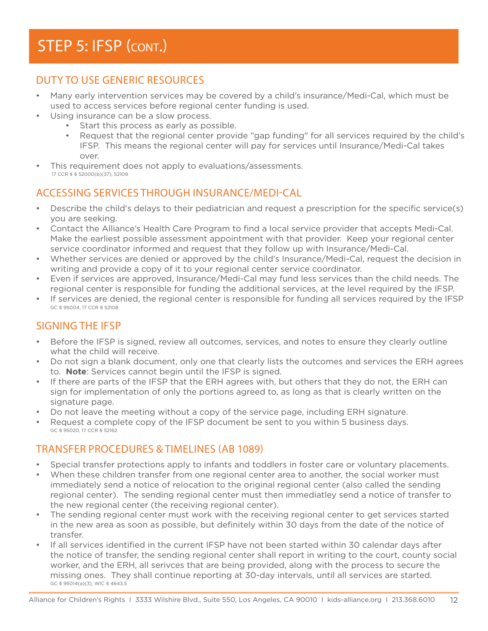# STEP 5: IFSP (CONT.)

# Duty to Use Generic Resources

- Many early intervention services may be covered by a child's insurance/Medi-Cal, which must be used to access services before regional center funding is used.
- Using insurance can be a slow process.
	- Start this process as early as possible.
	- Request that the regional center provide "gap funding" for all services required by the child's IFSP. This means the regional center will pay for services until Insurance/Medi-Cal takes over.
- This requirement does not apply to evaluations/assessments.  $17 \text{ ccR}$  §  $$32000(b)(37), $2109$

## Accessing Services through Insurance/Medi-Cal

- Describe the child's delays to their pediatrician and request a prescription for the specific service(s) you are seeking.
- Contact the Alliance's Health Care Program to find a local service provider that accepts Medi-Cal. Make the earliest possible assessment appointment with that provider. Keep your regional center service coordinator informed and request that they follow up with Insurance/Medi-Cal.
- Whether services are denied or approved by the child's Insurance/Medi-Cal, request the decision in writing and provide a copy of it to your regional center service coordinator.
- Even if services are approved, Insurance/Medi-Cal may fund less services than the child needs. The regional center is responsible for funding the additional services, at the level required by the IFSP.
- If services are denied, the regional center is responsible for funding all services required by the IFSP GC § 95004, 17 CCR § 52108

## Signing the IFSP

- Before the IFSP is signed, review all outcomes, services, and notes to ensure they clearly outline what the child will receive.
- Do not sign a blank document, only one that clearly lists the outcomes and services the ERH agrees to. **Note**: Services cannot begin until the IFSP is signed.
- If there are parts of the IFSP that the ERH agrees with, but others that they do not, the ERH can sign for implementation of only the portions agreed to, as long as that is clearly written on the signature page.
- Do not leave the meeting without a copy of the service page, including ERH signature.
- Request a complete copy of the IFSP document be sent to you within 5 business days. GC § 95020, 17 CCR § 52162

## TRANSFER PROCEDURES & TIMELINES (ab 1089)

- Special transfer protections apply to infants and toddlers in foster care or voluntary placements.
- When these children transfer from one regional center area to another, the social worker must immediately send a notice of relocation to the original regional center (also called the sending regional center). The sending regional center must then immediatley send a notice of transfer to the new regional center (the receiving regional center).
- The sending regional center must work with the receiving regional center to get services started in the new area as soon as possible, but definitely within 30 days from the date of the notice of transfer.
- If all services identified in the current IFSP have not been started within 30 calendar days after the notice of transfer, the sending regional center shall report in writing to the court, county social worker, and the ERH, all serivces that are being provided, along with the process to secure the missing ones. They shall continue reporting at 30-day intervals, until all services are started. GC § 95014(a)(3), WIC § 4643.5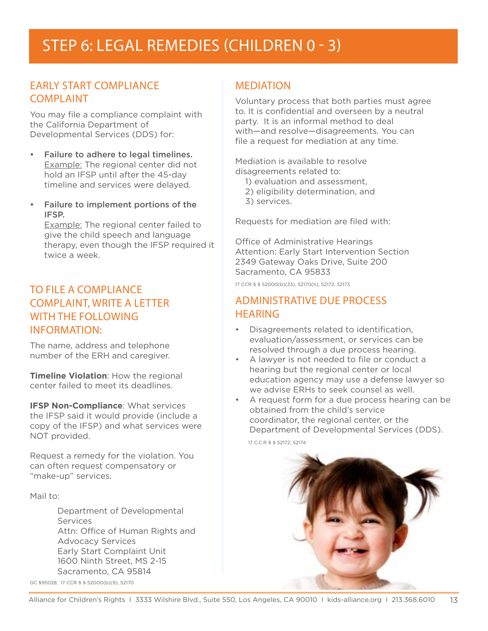# STEP 6: LEGAL REMEDIES (CHILDREN 0 - 3)

## Early Start Compliance **COMPI AINT**

You may file a compliance complaint with the California Department of Developmental Services (DDS) for:

- • Failure to adhere to legal timelines. Example: The regional center did not hold an IFSP until after the 45-day timeline and services were delayed.
- • Failure to implement portions of the IFSP.

Example: The regional center failed to give the child speech and language therapy, even though the IFSP required it twice a week.

# To File a Compliance COMPLAINT, WRITE A LETTER with the Following Information:

The name, address and telephone number of the ERH and caregiver.

**Timeline Violation**: How the regional center failed to meet its deadlines.

**IFSP Non-Compliance: What services** the IFSP said it would provide (include a copy of the IFSP) and what services were NOT provided.

Request a remedy for the violation. You can often request compensatory or "make-up" services.

Mail to:

 Department of Developmental Services Attn: Office of Human Rights and Advocacy Services Early Start Complaint Unit 1600 Ninth Street, MS 2-15 Sacramento, CA 95814

#### GC §95028, 17 CCR § § 52000(b)(9), 52170

### **MEDIATION**

Voluntary process that both parties must agree to. It is confidential and overseen by a neutral party. It is an informal method to deal with—and resolve—disagreements. You can file a request for mediation at any time.

Mediation is available to resolve disagreements related to:

- 1) evaluation and assessment,
- 2) eligibility determination, and
- 3) services.

Requests for mediation are filed with:

Office of Administrative Hearings Attention: Early Start Intervention Section 2349 Gateway Oaks Drive, Suite 200 Sacramento, CA 95833

17 CCR § § 52000(b)(33), 52170(h), 52172, 52173

## Administrative Due Process **HEARING**

- • Disagreements related to identification, evaluation/assessment, or services can be resolved through a due process hearing.
- • A lawyer is not needed to file or conduct a hearing but the regional center or local education agency may use a defense lawyer so we advise ERHs to seek counsel as well.
- • A request form for a due process hearing can be obtained from the child's service coordinator, the regional center, or the Department of Developmental Services (DDS).

17 C.C.R § § 52172, 52174

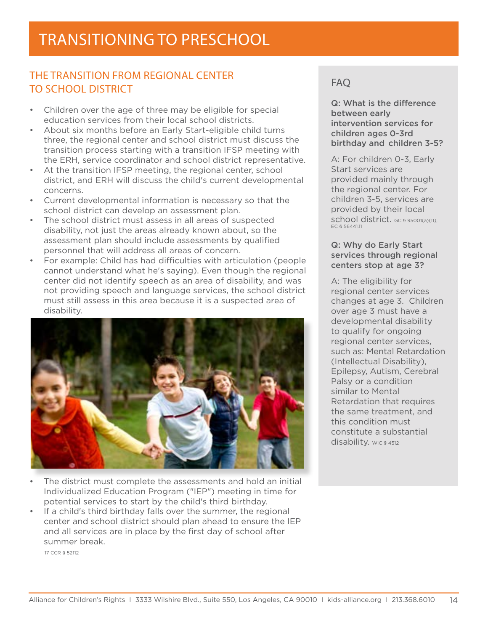# The Transition from Regional Center to School District

- Children over the age of three may be eligible for special education services from their local school districts.
- About six months before an Early Start-eligible child turns three, the regional center and school district must discuss the transition process starting with a transition IFSP meeting with the ERH, service coordinator and school district representative.
- At the transition IFSP meeting, the regional center, school district, and ERH will discuss the child's current developmental concerns.
- • Current developmental information is necessary so that the school district can develop an assessment plan.
- The school district must assess in all areas of suspected disability, not just the areas already known about, so the assessment plan should include assessments by qualified personnel that will address all areas of concern.
- For example: Child has had difficulties with articulation (people) cannot understand what he's saying). Even though the regional center did not identify speech as an area of disability, and was not providing speech and language services, the school district must still assess in this area because it is a suspected area of disability.



- The district must complete the assessments and hold an initial Individualized Education Program ("IEP") meeting in time for potential services to start by the child's third birthday.
- If a child's third birthday falls over the summer, the regional center and school district should plan ahead to ensure the IEP and all services are in place by the first day of school after summer break.

17 CCR § 52112

# FAQ

Q: What is the difference between early intervention services for children ages 0-3rd birthday and children 3-5?

A: For children 0-3, Early Start services are provided mainly through the regional center. For children 3-5, services are provided by their local school district. GC § 95001(a)(11), EC § 56441.11

### Q: Why do Early Start services through regional centers stop at age 3?

A: The eligibility for regional center services changes at age 3. Children over age 3 must have a developmental disability to qualify for ongoing regional center services, such as: Mental Retardation (Intellectual Disability), Epilepsy, Autism, Cerebral Palsy or a condition similar to Mental Retardation that requires the same treatment, and this condition must constitute a substantial disability. WIC § 4512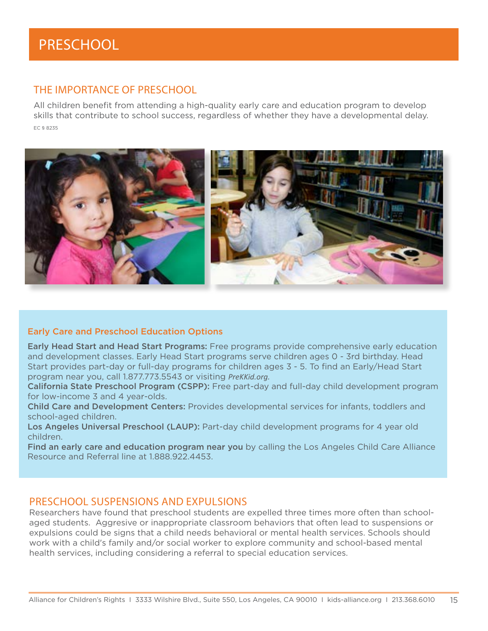# The Importance of PreSchool

All children benefit from attending a high-quality early care and education program to develop skills that contribute to school success, regardless of whether they have a developmental delay. EC § 8235



### Early Care and Preschool Education Options

**Early Head Start and Head Start Programs:** Free programs provide comprehensive early education and development classes. Early Head Start programs serve children ages 0 - 3rd birthday. Head Start provides part-day or full-day programs for children ages 3 - 5. To find an Early/Head Start program near you, call 1.877.773.5543 or visiting *PreKKid.org.*

California State Preschool Program (CSPP): Free part-day and full-day child development program for low-income 3 and 4 year-olds.

Child Care and Development Centers: Provides developmental services for infants, toddlers and school-aged children.

Los Angeles Universal Preschool (LAUP): Part-day child development programs for 4 year old children.

Find an early care and education program near you by calling the Los Angeles Child Care Alliance Resource and Referral line at 1.888.922.4453.

### Preschool suspensions and expulsions

Researchers have found that preschool students are expelled three times more often than schoolaged students. Aggresive or inappropriate classroom behaviors that often lead to suspensions or expulsions could be signs that a child needs behavioral or mental health services. Schools should work with a child's family and/or social worker to explore community and school-based mental health services, including considering a referral to special education services.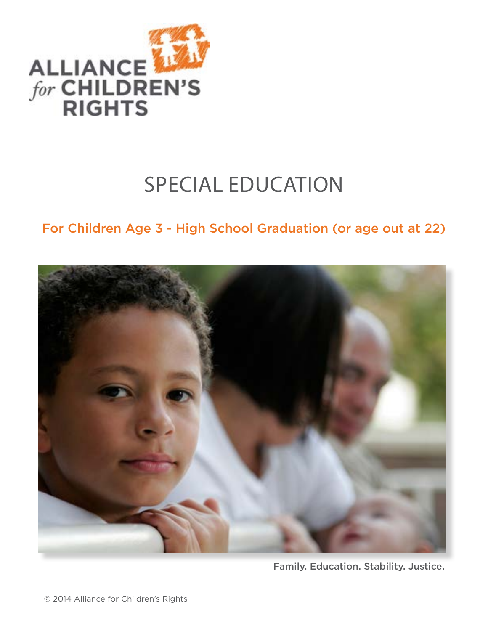

# SPECIAL EDUCATION

# For Children Age 3 - High School Graduation (or age out at 22)



Family. Education. Stability. Justice.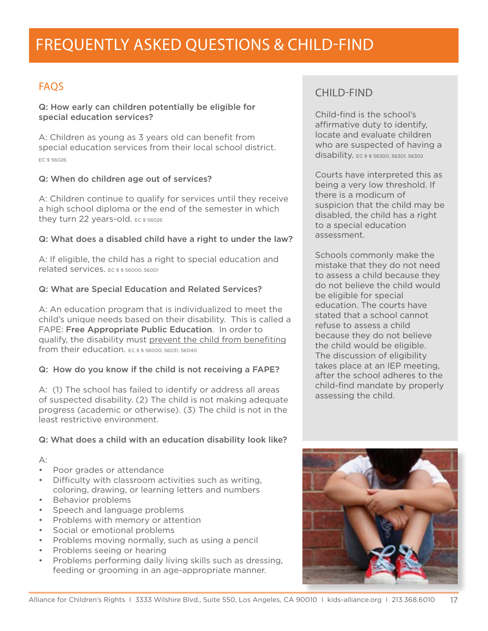# FAQs

Q: How early can children potentially be eligible for special education services?

A: Children as young as 3 years old can benefit from special education services from their local school district. EC § 56026

### Q: When do children age out of services?

A: Children continue to qualify for services until they receive a high school diploma or the end of the semester in which they turn 22 years-old. EC \$ 56026

### Q: What does a disabled child have a right to under the law?

A: If eligible, the child has a right to special education and related services. EC § § 56000, 56001

### Q: What are Special Education and Related Services?

A: An education program that is individualized to meet the child's unique needs based on their disability. This is called a FAPE: Free Appropriate Public Education. In order to qualify, the disability must prevent the child from benefiting from their education. **EC § § 56000, 56031, 56040** 

### Q: How do you know if the child is not receiving a FAPE?

A: (1) The school has failed to identify or address all areas of suspected disability. (2) The child is not making adequate progress (academic or otherwise). (3) The child is not in the least restrictive environment.

### Q: What does a child with an education disability look like?

### A:

- Poor grades or attendance
- Difficulty with classroom activities such as writing, coloring, drawing, or learning letters and numbers
- Behavior problems
- • Speech and language problems
- **Problems with memory or attention**
- Social or emotional problems
- Problems moving normally, such as using a pencil
- Problems seeing or hearing
- • Problems performing daily living skills such as dressing, feeding or grooming in an age-appropriate manner.

# CHII D-FIND

Child-find is the school's affirmative duty to identify, locate and evaluate children who are suspected of having a disability. EC § § 56300, 56301, 56302

Courts have interpreted this as being a very low threshold. If there is a modicum of suspicion that the child may be disabled, the child has a right to a special education assessment.

Schools commonly make the mistake that they do not need to assess a child because they do not believe the child would be eligible for special education. The courts have stated that a school cannot refuse to assess a child because they do not believe the child would be eligible. The discussion of eligibility takes place at an IEP meeting, after the school adheres to the child-find mandate by properly assessing the child.

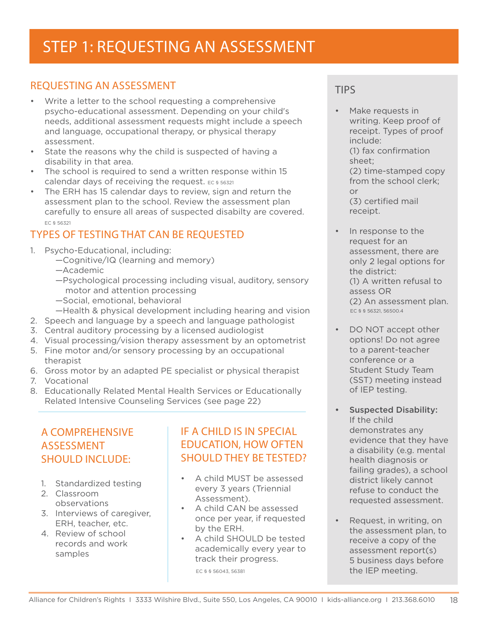# STEP 1: REQUESTing AN ASSESSMENT

# Requesting an Assessment

- Write a letter to the school requesting a comprehensive psycho-educational assessment. Depending on your child's needs, additional assessment requests might include a speech and language, occupational therapy, or physical therapy assessment.
- State the reasons why the child is suspected of having a disability in that area.
- The school is required to send a written response within 15 calendar days of receiving the request. EC § 56321
- The ERH has 15 calendar days to review, sign and return the assessment plan to the school. Review the assessment plan carefully to ensure all areas of suspected disabilty are covered. EC § 56321

# Types of Testing That Can Be Requested

- 1. Psycho-Educational, including:
	- —Cognitive/IQ (learning and memory)
	- —Academic
	- —Psychological processing including visual, auditory, sensory motor and attention processing
	- —Social, emotional, behavioral
	- —Health & physical development including hearing and vision
- 2. Speech and language by a speech and language pathologist
- 3. Central auditory processing by a licensed audiologist
- 4. Visual processing/vision therapy assessment by an optometrist
- 5. Fine motor and/or sensory processing by an occupational therapist
- 6. Gross motor by an adapted PE specialist or physical therapist
- 7. Vocational
- 8. Educationally Related Mental Health Services or Educationally Related Intensive Counseling Services (see page 22)

# A Comprehensive **ASSESSMENT** Should Include:

- 1. Standardized testing
- 2. Classroom observations
- 3. Interviews of caregiver, ERH, teacher, etc.
- 4. Review of school records and work samples

# If a Child is in Special Education, How Often Should They Be Tested?

- A child MUST be assessed every 3 years (Triennial Assessment).
- • A child CAN be assessed once per year, if requested by the ERH.
- A child SHOULD be tested academically every year to track their progress.

EC § § 56043, 56381

# Tips

- Make requests in writing. Keep proof of receipt. Types of proof include: (1) fax confirmation sheet; (2) time-stamped copy from the school clerk; or (3) certified mail receipt.
- In response to the request for an assessment, there are only 2 legal options for the district: (1) A written refusal to assess OR (2) An assessment plan. EC § § 56321, 56500.4
- DO NOT accept other options! Do not agree to a parent-teacher conference or a Student Study Team (SST) meeting instead of IEP testing.
- **Suspected Disability:** If the child demonstrates any evidence that they have a disability (e.g. mental health diagnosis or failing grades), a school district likely cannot refuse to conduct the requested assessment.
- Request, in writing, on the assessment plan, to receive a copy of the assessment report(s) 5 business days before the IEP meeting.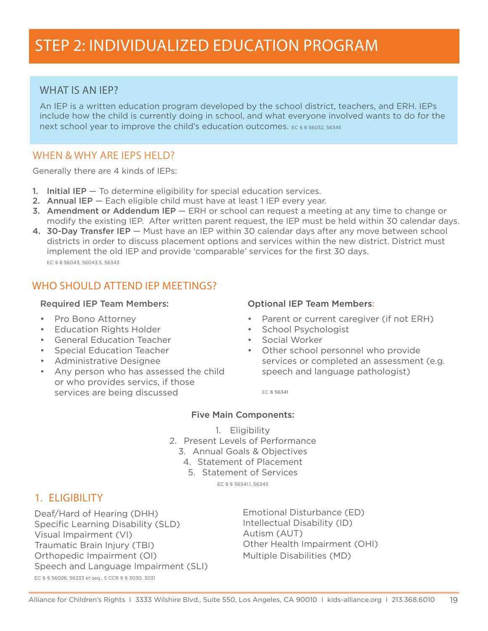## WHAT IS AN IFP?

An IEP is a written education program developed by the school district, teachers, and ERH. IEPs include how the child is currently doing in school, and what everyone involved wants to do for the next school year to improve the child's education outcomes. EC § § 56032, 56345

## WHEN & WHY ARE IEPS HELD?

Generally there are 4 kinds of IEPs:

- 1. Initial IEP To determine eligibility for special education services.
- 2. Annual IEP Each eligible child must have at least 1 IEP every year.
- 3. Amendment or Addendum IEP ERH or school can request a meeting at any time to change or modify the existing IEP. After written parent request, the IEP must be held within 30 calendar days.
- 4. 30-Day Transfer IEP Must have an IEP within 30 calendar days after any move between school districts in order to discuss placement options and services within the new district. District must implement the old IEP and provide 'comparable' services for the first 30 days. EC § § 56043, 56043.5, 56343

# WHO SHOULD ATTEND IEP MEETINGS?

### Required IEP Team Members:

- • Pro Bono Attorney
- • Education Rights Holder
- • General Education Teacher
- **Special Education Teacher**
- Administrative Designee
- • Any person who has assessed the child or who provides servics, if those services are being discussed

### Optional IEP Team Members:

- Parent or current caregiver (if not ERH)
- • School Psychologist
- • Social Worker
- • Other school personnel who provide services or completed an assessment (e.g. speech and language pathologist)

EC § 56341

### Five Main Components:

- 1. Eligibility
- 2. Present Levels of Performance
	- 3. Annual Goals & Objectives
		- 4. Statement of Placement
		- 5. Statement of Services

EC § § 56341.1, 56345

## 1. Eligibility

Deaf/Hard of Hearing (DHH) Specific Learning Disability (SLD) Visual Impairment (VI) Traumatic Brain Injury (TBI) Orthopedic Impairment (OI) Speech and Language Impairment (SLI) EC § § 56026, 56333 et seq., 5 CCR § § 3030, 3031

Emotional Disturbance (ED) Intellectual Disability (ID) Autism (AUT) Other Health Impairment (OHI) Multiple Disabilities (MD)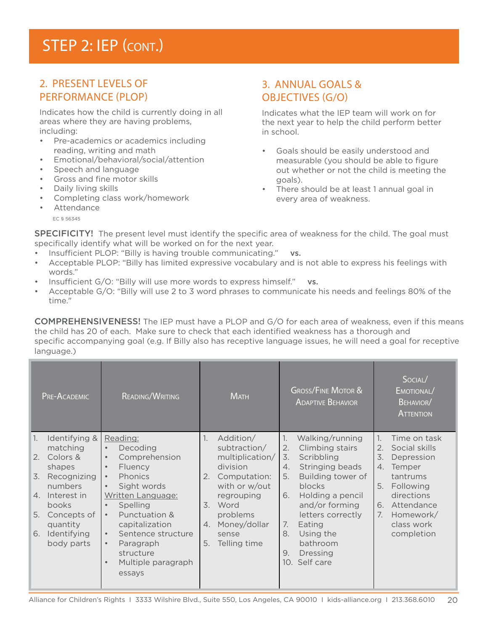# STEP 2: IEP (CONT.)

# 2. Present Levels of Performance (PLOP)

Indicates how the child is currently doing in all areas where they are having problems, including:

- • Pre-academics or academics including reading, writing and math
- Emotional/behavioral/social/attention
- Speech and language
- • Gross and fine motor skills
- Daily living skills
- Completing class work/homework

#### **Attendance**

EC § 56345

# 3. Annual Goals & Objectives (G/O)

Indicates what the IEP team will work on for the next year to help the child perform better in school.

- Goals should be easily understood and measurable (you should be able to figure out whether or not the child is meeting the goals).
- • There should be at least 1 annual goal in every area of weakness.

SPECIFICITY! The present level must identify the specific area of weakness for the child. The goal must specifically identify what will be worked on for the next year.

- Insufficient PLOP: "Billy is having trouble communicating." vs.
- Acceptable PLOP: "Billy has limited expressive vocabulary and is not able to express his feelings with words."
- Insufficient  $G/O$ : "Billy will use more words to express himself." vs.
- Acceptable G/O: "Billy will use 2 to 3 word phrases to communicate his needs and feelings 80% of the time."

COMPREHENSIVENESS! The IEP must have a PLOP and G/O for each area of weakness, even if this means the child has 20 of each. Make sure to check that each identified weakness has a thorough and specific accompanying goal (e.g. If Billy also has receptive language issues, he will need a goal for receptive language.)

| PRE-ACADEMIC                                                                                                                                                                                                     | <b>READING/WRITING</b>                                                                                                                                                                                                                                                                                                                                                  | <b>MATH</b>                                                                                                                                                                                                 | <b>GROSS/FINE MOTOR &amp;</b><br><b>ADAPTIVE BEHAVIOR</b>                                                                                                                                                                                                                                       | SOCIAL/<br>EMOTIONAL/<br>BEHAVIOR/<br><b>ATTENTION</b>                                                                                                                                                    |
|------------------------------------------------------------------------------------------------------------------------------------------------------------------------------------------------------------------|-------------------------------------------------------------------------------------------------------------------------------------------------------------------------------------------------------------------------------------------------------------------------------------------------------------------------------------------------------------------------|-------------------------------------------------------------------------------------------------------------------------------------------------------------------------------------------------------------|-------------------------------------------------------------------------------------------------------------------------------------------------------------------------------------------------------------------------------------------------------------------------------------------------|-----------------------------------------------------------------------------------------------------------------------------------------------------------------------------------------------------------|
| $\mathbb{1}$ .<br>Identifying &<br>matching<br>2.<br>Colors &<br>shapes<br>Recognizing<br>3.<br>numbers<br>Interest in<br>4.<br><b>books</b><br>5.<br>Concepts of<br>quantity<br>6.<br>Identifying<br>body parts | Reading:<br>Decoding<br>$\bullet$<br>Comprehension<br>$\bullet$<br>Fluency<br>$\bullet$<br><b>Phonics</b><br>$\bullet$<br>Sight words<br>$\bullet$<br>Written Language:<br>Spelling<br>$\bullet$<br>Punctuation &<br>$\bullet$<br>capitalization<br>Sentence structure<br>$\bullet$<br>Paragraph<br>$\bullet$<br>structure<br>Multiple paragraph<br>$\bullet$<br>essays | $\mathbb{1}$ .<br>Addition/<br>subtraction/<br>multiplication/<br>division<br>Computation:<br>2.<br>with or w/out<br>regrouping<br>3. Word<br>problems<br>Money/dollar<br>4.<br>sense<br>Telling time<br>5. | $\mathbb{1}$ .<br>Walking/running<br>Climbing stairs<br>2.<br>3.<br>Scribbling<br>Stringing beads<br>4.<br>Building tower of<br>5.<br>blocks<br>Holding a pencil<br>6.<br>and/or forming<br>letters correctly<br>7.<br>Eating<br>Using the<br>8.<br>bathroom<br>9.<br>Dressing<br>10. Self care | $\mathbb{1}$ .<br>Time on task<br>Social skills<br>2.<br>3.<br>Depression<br>4.<br>Temper<br>tantrums<br>Following<br>5.<br>directions<br>Attendance<br>6.<br>7.<br>Homework/<br>class work<br>completion |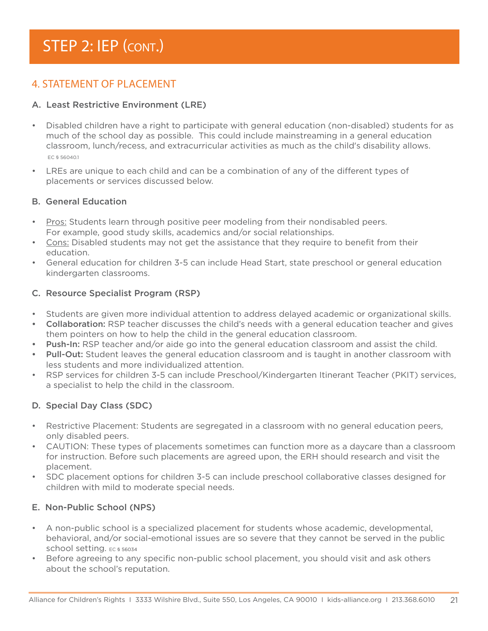# STEP 2: IEP (CONT.)

# 4. STATEMENT OF PLACEMENT

### A. Least Restrictive Environment (LRE)

- Disabled children have a right to participate with general education (non-disabled) students for as much of the school day as possible. This could include mainstreaming in a general education classroom, lunch/recess, and extracurricular activities as much as the child's disability allows. EC § 56040.1
- • LREs are unique to each child and can be a combination of any of the different types of placements or services discussed below.

### B. General Education

- Pros: Students learn through positive peer modeling from their nondisabled peers. For example, good study skills, academics and/or social relationships.
- Cons: Disabled students may not get the assistance that they require to benefit from their education.
- General education for children 3-5 can include Head Start, state preschool or general education kindergarten classrooms.

### C. Resource Specialist Program (RSP)

- Students are given more individual attention to address delayed academic or organizational skills.
- **Collaboration:** RSP teacher discusses the child's needs with a general education teacher and gives them pointers on how to help the child in the general education classroom.
- **Push-In:** RSP teacher and/or aide go into the general education classroom and assist the child.
- Pull-Out: Student leaves the general education classroom and is taught in another classroom with less students and more individualized attention.
- RSP services for children 3-5 can include Preschool/Kindergarten Itinerant Teacher (PKIT) services, a specialist to help the child in the classroom.

### D. Special Day Class (SDC)

- Restrictive Placement: Students are segregated in a classroom with no general education peers, only disabled peers.
- CAUTION: These types of placements sometimes can function more as a daycare than a classroom for instruction. Before such placements are agreed upon, the ERH should research and visit the placement.
- SDC placement options for children 3-5 can include preschool collaborative classes designed for children with mild to moderate special needs.

### E. Non-Public School (NPS)

- • A non-public school is a specialized placement for students whose academic, developmental, behavioral, and/or social-emotional issues are so severe that they cannot be served in the public school setting. EC § 56034
- Before agreeing to any specific non-public school placement, you should visit and ask others about the school's reputation.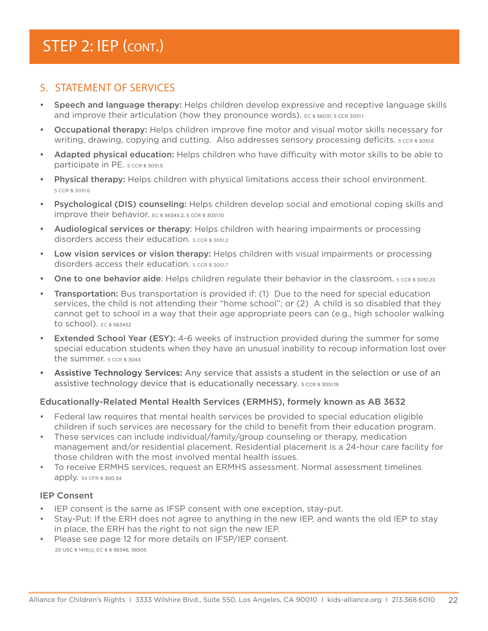# STEP 2: IEP (CONT.)

## 5. Statement of Services

- Speech and language therapy: Helps children develop expressive and receptive language skills and improve their articulation (how they pronounce words). EC § 56031, 5 CCR 3051.1
- Occupational therapy: Helps children improve fine motor and visual motor skills necessary for writing, drawing, copying and cutting. Also addresses sensory processing deficits. 5 CCR § 3051.6
- Adapted physical education: Helps children who have difficulty with motor skills to be able to participate in PE. 5 CCR § 3051.5
- Physical therapy: Helps children with physical limitations access their school environment. 5 CCR § 3051.6
- • Psychological (DIS) counseling: Helps children develop social and emotional coping skills and improve their behavior. EC § 56345.2, 5 CCR § 3051.10
- Audiological services or therapy: Helps children with hearing impairments or processing disorders access their education.  $5$  CCR § 3051.2
- Low vision services or vision therapy: Helps children with visual impairments or processing disorders access their education.  $5$  CCR § 3051.7
- One to one behavior aide: Helps children regulate their behavior in the classroom.  $5$  CCR § 3051.23
- Transportation: Bus transportation is provided if: (1) Due to the need for special education services, the child is not attending their "home school"; or (2) A child is so disabled that they cannot get to school in a way that their age appropriate peers can (e.g., high schooler walking to school). EC § 563452
- Extended School Year (ESY): 4-6 weeks of instruction provided during the summer for some special education students when they have an unusual inability to recoup information lost over the summer. 5 CCR § 3043
- Assistive Technology Services: Any service that assists a student in the selection or use of an assistive technology device that is educationally necessary.  $5$  CCR § 3051.19

### Educationally-Related Mental Health Services (ERMHS), formely known as AB 3632

- Federal law requires that mental health services be provided to special education eligible children if such services are necessary for the child to benefit from their education program.
- These services can include individual/family/group counseling or therapy, medication management and/or residential placement. Residential placement is a 24-hour care facility for those children with the most involved mental health issues.
- To receive ERMHS services, request an ERMHS assessment. Normal assessment timelines apply. 34 CFR § 300.34

### IEP Consent

- • IEP consent is the same as IFSP consent with one exception, stay-put.
- Stay-Put: If the ERH does not agree to anything in the new IEP, and wants the old IEP to stay in place, the ERH has the right to not sign the new IEP.
- • Please see page 12 for more details on IFSP/IEP consent. 20 USC § 1415(j), EC § § 56346, 56505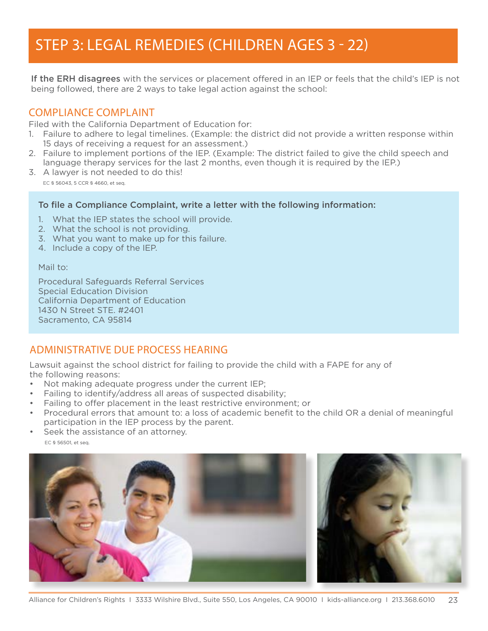# STEP 3: LEGAL REMEDIES (CHILDREN AGES 3 - 22)

If the ERH disagrees with the services or placement offered in an IEP or feels that the child's IEP is not being followed, there are 2 ways to take legal action against the school:

## Compliance Complaint

Filed with the California Department of Education for:

- 1. Failure to adhere to legal timelines. (Example: the district did not provide a written response within 15 days of receiving a request for an assessment.)
- 2. Failure to implement portions of the IEP. (Example: The district failed to give the child speech and language therapy services for the last 2 months, even though it is required by the IEP.)
- 3. A lawyer is not needed to do this! EC § 56043, 5 CCR § 4660, et seq.

### To file a Compliance Complaint, write a letter with the following information:

- 1. What the IEP states the school will provide.
- 2. What the school is not providing.
- 3. What you want to make up for this failure.
- 4. Include a copy of the IEP.

#### Mail to:

Procedural Safeguards Referral Services Special Education Division California Department of Education 1430 N Street STE. #2401 Sacramento, CA 95814

## Administrative Due Process Hearing

Lawsuit against the school district for failing to provide the child with a FAPE for any of the following reasons:

- Not making adequate progress under the current IEP;
- Failing to identify/address all areas of suspected disability;
- Failing to offer placement in the least restrictive environment; or
- Procedural errors that amount to: a loss of academic benefit to the child OR a denial of meaningful participation in the IEP process by the parent.
- Seek the assistance of an attorney. EC § 56501, et seq.

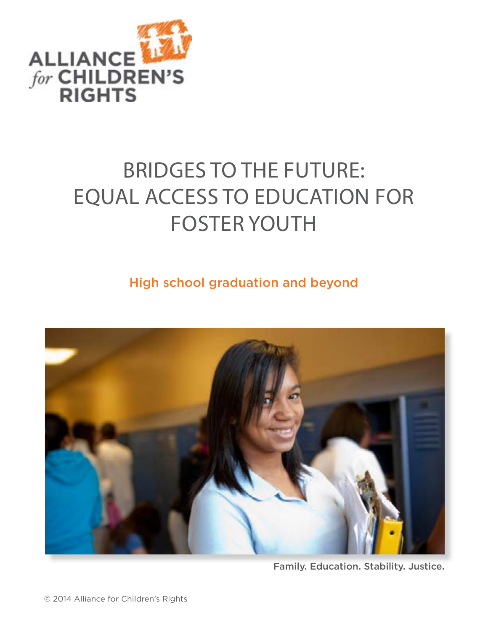

# bridges to the future: eQUAL ACCESS TO EDUCATION FOR FOSTER YOUTH

# High school graduation and beyond



Family. Education. Stability. Justice.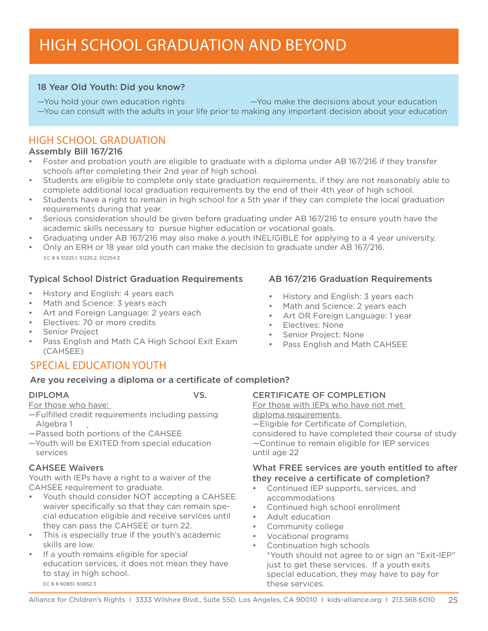# High School Graduation and Beyond

### 18 Year Old Youth: Did you know?

—You hold your own education rights —You make the decisions about your education —You can consult with the adults in your life prior to making any important decision about your education

## High School Graduation

### Assembly Bill 167/216

- Foster and probation youth are eligible to graduate with a diploma under AB 167/216 if they transfer schools after completing their 2nd year of high school.
- Students are eligible to complete only state graduation requirements, if they are not reasonably able to complete additional local graduation requirements by the end of their 4th year of high school.
- Students have a right to remain in high school for a 5th year if they can complete the local graduation requirements during that year.
- Serious consideration should be given before graduating under AB 167/216 to ensure youth have the academic skills necessary to pursue higher education or vocational goals.
- Graduating under AB 167/216 may also make a youth INELIGIBLE for applying to a 4 year university.
- Only an ERH or 18 year old youth can make the decision to graduate under AB 167/216. EC § § 51225.1, 51225.2, 512254.3

### Typical School District Graduation Requirements

- History and English: 4 years each
- Math and Science: 3 years each
- Art and Foreign Language: 2 years each
- Electives: 70 or more credits
- Senior Project
- Pass English and Math CA High School Exit Exam (CAHSEE)

# Special Education Youth

### Are you receiving a diploma or a certificate of completion?

### DIPLOMA

For those who have:

- —Fulfilled credit requirements including passing Algebra 1
- —Passed both portions of the CAHSEE
- —Youth will be EXITED from special education services

### CAHSEE Waivers

Youth with IEPs have a right to a waiver of the CAHSEE requirement to graduate.

- Youth should consider NOT accepting a CAHSEE waiver specifically so that they can remain special education eligible and receive services until they can pass the CAHSEE or turn 22.
- • This is especially true if the youth's academic skills are low.
- If a youth remains eligible for special education services, it does not mean they have to stay in high school. EC § § 60851, 60852.3

## CERTIFICATE OF COMPLETION

For those with IEPs who have not met diploma requirements —Eligible for Certificate of Completion, considered to have completed their course of study —Continue to remain eligible for IEP services until age 22

### What FREE services are youth entitled to after they receive a certificate of completion?

- • Continued IEP supports, services, and accommodations
- • Continued high school enrollment
- • Adult education
- Community college
- • Vocational programs
- Continuation high schools \*Youth should not agree to or sign an "Exit-IEP" just to get these services. If a youth exits special education, they may have to pay for these services.

### AB 167/216 Graduation Requirements

- History and English: 3 years each
- Math and Science: 2 years each
- Art OR Foreign Language: 1 year
- • Electives: None
- **Senior Project: None**
- • Pass English and Math CAHSEE

VS.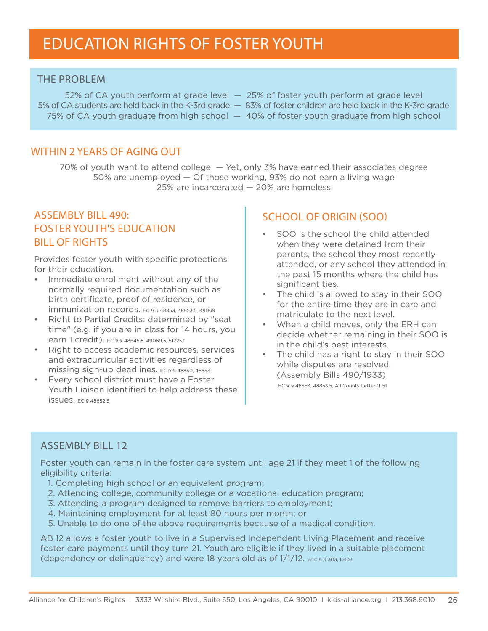# education rights of foster youth

### **THF PROBLEM**

5% of CA students are held back in the K-3rd grade — 83% of foster children are held back in the K-3rd grade 75% of CA youth graduate from high school — 40% of foster youth graduate from high school

52% of CA youth perform at grade level — 25% of foster youth perform at grade level

- 
- 

## WITHIN 2 YEARS OF AGING OUT

70% of youth want to attend college — Yet, only 3% have earned their associates degree 50% are unemployed — Of those working, 93% do not earn a living wage 25% are incarcerated — 20% are homeless

# Assembly Bill 490: Foster Youth's Education Bill of Rights

Provides foster youth with specific protections for their education.

- Immediate enrollment without any of the normally required documentation such as birth certificate, proof of residence, or immunization records. EC § § 48853, 48853.5, 49069
- • Right to Partial Credits: determined by "seat time" (e.g. if you are in class for 14 hours, you earn 1 credit). EC § § 48645.5, 49069.5, 51225.1
- • Right to access academic resources, services and extracurricular activities regardless of missing sign-up deadlines. EC § § 48850, 48853
- • Every school district must have a Foster Youth Liaison identified to help address these issues. EC § 48852.5

## School of Origin (SOO)

- SOO is the school the child attended when they were detained from their parents, the school they most recently attended, or any school they attended in the past 15 months where the child has significant ties.
- • The child is allowed to stay in their SOO for the entire time they are in care and matriculate to the next level.
- • When a child moves, only the ERH can decide whether remaining in their SOO is in the child's best interests.
- • The child has a right to stay in their SOO while disputes are resolved. (Assembly Bills 490/1933) EC § § 48853, 48853.5, All County Letter 11-51

## Assembly Bill 12

Foster youth can remain in the foster care system until age 21 if they meet 1 of the following eligibility criteria:

- 1. Completing high school or an equivalent program;
- 2. Attending college, community college or a vocational education program;
- 3. Attending a program designed to remove barriers to employment;
- 4. Maintaining employment for at least 80 hours per month; or
- 5. Unable to do one of the above requirements because of a medical condition.

AB 12 allows a foster youth to live in a Supervised Independent Living Placement and receive foster care payments until they turn 21. Youth are eligible if they lived in a suitable placement (dependency or delinguency) and were 18 years old as of  $1/1/12$ . WIC § § 303, 11403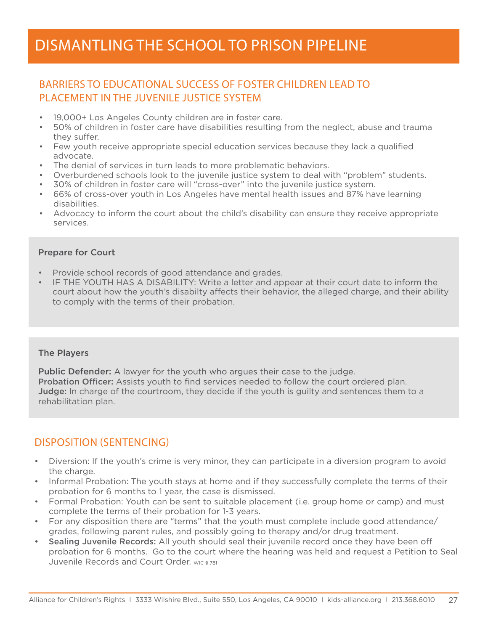# Dismantling the school to prison pipeline

# Barriers to Educational Success of Foster Children Lead to Placement in the Juvenile Justice System

- 19,000+ Los Angeles County children are in foster care.
- 50% of children in foster care have disabilities resulting from the neglect, abuse and trauma they suffer.
- Few youth receive appropriate special education services because they lack a qualified advocate.
- The denial of services in turn leads to more problematic behaviors.
- • Overburdened schools look to the juvenile justice system to deal with "problem" students.
- 30% of children in foster care will "cross-over" into the juvenile justice system.
- 66% of cross-over youth in Los Angeles have mental health issues and 87% have learning disabilities.
- • Advocacy to inform the court about the child's disability can ensure they receive appropriate services.

### Prepare for Court

- Provide school records of good attendance and grades.
- IF THE YOUTH HAS A DISABILITY: Write a letter and appear at their court date to inform the court about how the youth's disabilty affects their behavior, the alleged charge, and their ability to comply with the terms of their probation.

### The Players

**Public Defender:** A lawyer for the youth who argues their case to the judge. Probation Officer: Assists youth to find services needed to follow the court ordered plan. **Judge:** In charge of the courtroom, they decide if the youth is guilty and sentences them to a rehabilitation plan.

## Disposition (Sentencing)

- • Diversion: If the youth's crime is very minor, they can participate in a diversion program to avoid the charge.
- Informal Probation: The youth stays at home and if they successfully complete the terms of their probation for 6 months to 1 year, the case is dismissed.
- Formal Probation: Youth can be sent to suitable placement (i.e. group home or camp) and must complete the terms of their probation for 1-3 years.
- For any disposition there are "terms" that the youth must complete include good attendance/ grades, following parent rules, and possibly going to therapy and/or drug treatment.
- Sealing Juvenile Records: All youth should seal their juvenile record once they have been off probation for 6 months. Go to the court where the hearing was held and request a Petition to Seal Juvenile Records and Court Order. WIC § 781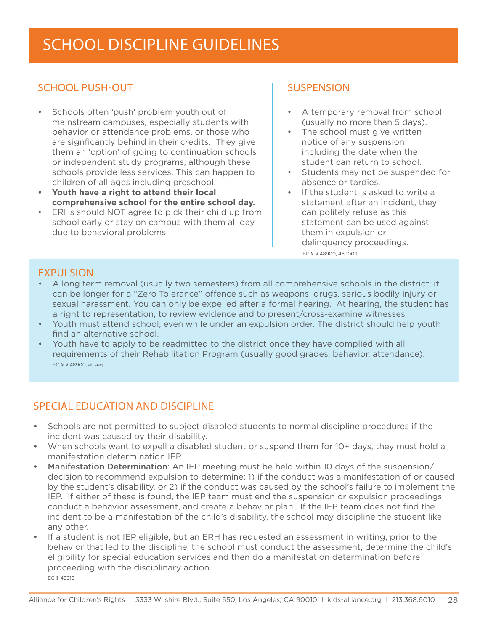# sCHOOL dISCIPLINE GUIDELINES

# School Push-Out

- Schools often 'push' problem youth out of mainstream campuses, especially students with behavior or attendance problems, or those who are signficantly behind in their credits. They give them an 'option' of going to continuation schools or independent study programs, although these schools provide less services. This can happen to children of all ages including preschool.
- **• Youth have a right to attend their local comprehensive school for the entire school day.**
- ERHs should NOT agree to pick their child up from school early or stay on campus with them all day due to behavioral problems.

# **SUSPENSION**

- A temporary removal from school (usually no more than 5 days).
- The school must give written notice of any suspension including the date when the student can return to school.
- Students may not be suspended for absence or tardies.
- If the student is asked to write a statement after an incident, they can politely refuse as this statement can be used against them in expulsion or delinquency proceedings. EC § § 48900, 48900.1

## **EXPULSION**

- • A long term removal (usually two semesters) from all comprehensive schools in the district; it can be longer for a "Zero Tolerance" offence such as weapons, drugs, serious bodily injury or sexual harassment. You can only be expelled after a formal hearing. At hearing, the student has a right to representation, to review evidence and to present/cross-examine witnesses.
- Youth must attend school, even while under an expulsion order. The district should help youth find an alternative school.
- Youth have to apply to be readmitted to the district once they have complied with all requirements of their Rehabilitation Program (usually good grades, behavior, attendance). EC § § 48900, et seq.

## Special Education and Discipline

- Schools are not permitted to subject disabled students to normal discipline procedures if the incident was caused by their disability.
- • When schools want to expell a disabled student or suspend them for 10+ days, they must hold a manifestation determination IEP.
- Manifestation Determination: An IEP meeting must be held within 10 days of the suspension/ decision to recommend expulsion to determine: 1) if the conduct was a manifestation of or caused by the student's disability, or 2) if the conduct was caused by the school's failure to implement the IEP. If either of these is found, the IEP team must end the suspension or expulsion proceedings, conduct a behavior assessment, and create a behavior plan. If the IEP team does not find the incident to be a manifestation of the child's disability, the school may discipline the student like any other.
- • If a student is not IEP eligible, but an ERH has requested an assessment in writing, prior to the behavior that led to the discipline, the school must conduct the assessment, determine the child's eligibility for special education services and then do a manifestation determination before proceeding with the disciplinary action. EC § 48915